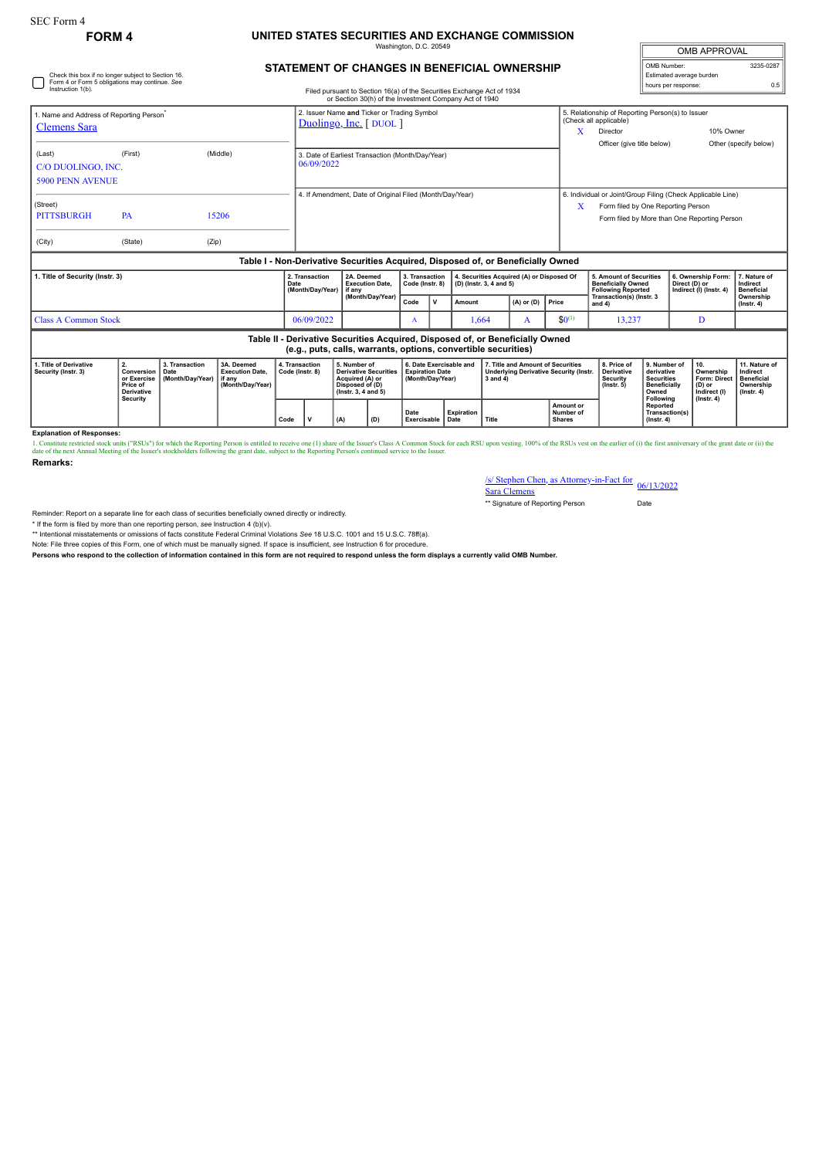## SEC Form 4

Check this box if no longer subject to Section 16. Form 4 or Form 5 obligations may continue. *See*

## **FORM 4 UNITED STATES SECURITIES AND EXCHANGE COMMISSION** ington, D.C. 20

| <b>OMB APPROVAL</b>      |           |  |  |  |  |  |  |
|--------------------------|-----------|--|--|--|--|--|--|
| OMB Number:              | 3235-0287 |  |  |  |  |  |  |
| Estimated average burden |           |  |  |  |  |  |  |
| hours per response:      |           |  |  |  |  |  |  |

## **STATEMENT OF CHANGES IN BENEFICIAL OWNERSHIP**

| Instruction 1(b).                                                           |                                                                                             |                                            |                                                                                  |                                   |                                                                      |                                                                                                              | Filed pursuant to Section 16(a) of the Securities Exchange Act of 1934<br>or Section 30(h) of the Investment Company Act of 1940 |                                                                       |                   |                                                                                                                                                   |                                           |                                                                               |                                                                                    |                                                                                                                                                            | <b>NORTH POINT CONTROL</b>                                                                                                                     |                                                                                       |                                                                          |
|-----------------------------------------------------------------------------|---------------------------------------------------------------------------------------------|--------------------------------------------|----------------------------------------------------------------------------------|-----------------------------------|----------------------------------------------------------------------|--------------------------------------------------------------------------------------------------------------|----------------------------------------------------------------------------------------------------------------------------------|-----------------------------------------------------------------------|-------------------|---------------------------------------------------------------------------------------------------------------------------------------------------|-------------------------------------------|-------------------------------------------------------------------------------|------------------------------------------------------------------------------------|------------------------------------------------------------------------------------------------------------------------------------------------------------|------------------------------------------------------------------------------------------------------------------------------------------------|---------------------------------------------------------------------------------------|--------------------------------------------------------------------------|
| 1. Name and Address of Reporting Person <sup>®</sup><br><b>Clemens</b> Sara |                                                                                             |                                            |                                                                                  |                                   | 2. Issuer Name and Ticker or Trading Symbol<br>Duolingo, Inc. [DUOL] |                                                                                                              |                                                                                                                                  |                                                                       |                   |                                                                                                                                                   |                                           |                                                                               | x                                                                                  | 5. Relationship of Reporting Person(s) to Issuer<br>(Check all applicable)<br>10% Owner<br>Director<br>Officer (give title below)<br>Other (specify below) |                                                                                                                                                |                                                                                       |                                                                          |
| (Last)<br>C/O DUOLINGO, INC.<br><b>5900 PENN AVENUE</b>                     | (First)                                                                                     |                                            | (Middle)                                                                         |                                   | 3. Date of Earliest Transaction (Month/Day/Year)<br>06/09/2022       |                                                                                                              |                                                                                                                                  |                                                                       |                   |                                                                                                                                                   |                                           |                                                                               |                                                                                    |                                                                                                                                                            |                                                                                                                                                |                                                                                       |                                                                          |
| (Street)<br><b>PITTSBURGH</b><br>(City)                                     | 4. If Amendment, Date of Original Filed (Month/Day/Year)<br>PA<br>15206<br>(State)<br>(Zip) |                                            |                                                                                  |                                   |                                                                      |                                                                                                              |                                                                                                                                  |                                                                       | x                 | 6. Individual or Joint/Group Filing (Check Applicable Line)<br>Form filed by One Reporting Person<br>Form filed by More than One Reporting Person |                                           |                                                                               |                                                                                    |                                                                                                                                                            |                                                                                                                                                |                                                                                       |                                                                          |
|                                                                             |                                                                                             |                                            | Table I - Non-Derivative Securities Acquired, Disposed of, or Beneficially Owned |                                   |                                                                      |                                                                                                              |                                                                                                                                  |                                                                       |                   |                                                                                                                                                   |                                           |                                                                               |                                                                                    |                                                                                                                                                            |                                                                                                                                                |                                                                                       |                                                                          |
| 1. Title of Security (Instr. 3)                                             |                                                                                             |                                            |                                                                                  | Date                              | 2. Transaction<br>(Month/Day/Year)                                   | 2A. Deemed<br><b>Execution Date.</b><br>if any                                                               | 3. Transaction<br>Code (Instr. 8)<br>(D) (Instr. 3, 4 and 5)                                                                     |                                                                       |                   |                                                                                                                                                   | 4. Securities Acquired (A) or Disposed Of |                                                                               | 5. Amount of Securities<br><b>Beneficially Owned</b><br><b>Following Reported</b>  |                                                                                                                                                            | 6. Ownership Form<br>Direct (D) or<br>Indirect (I) (Instr. 4)                                                                                  | 7. Nature of<br>Indirect<br><b>Beneficial</b>                                         |                                                                          |
|                                                                             |                                                                                             |                                            |                                                                                  |                                   |                                                                      | (Month/Day/Year)                                                                                             |                                                                                                                                  | Code                                                                  | $\mathsf{v}$      | Amount                                                                                                                                            | $(A)$ or $(D)$                            |                                                                               | Price                                                                              | Transaction(s) (Instr. 3<br>and 4)                                                                                                                         |                                                                                                                                                |                                                                                       | Ownership<br>$($ Instr. 4 $)$                                            |
| <b>Class A Common Stock</b>                                                 |                                                                                             |                                            |                                                                                  |                                   | 06/09/2022                                                           |                                                                                                              | A                                                                                                                                |                                                                       |                   | 1,664                                                                                                                                             | A                                         | $$0^{(1)}$$                                                                   | 13,237                                                                             |                                                                                                                                                            | D                                                                                                                                              |                                                                                       |                                                                          |
|                                                                             |                                                                                             |                                            |                                                                                  |                                   |                                                                      |                                                                                                              | (e.g., puts, calls, warrants, options, convertible securities)                                                                   |                                                                       |                   |                                                                                                                                                   |                                           | Table II - Derivative Securities Acquired, Disposed of, or Beneficially Owned |                                                                                    |                                                                                                                                                            |                                                                                                                                                |                                                                                       |                                                                          |
| 1. Title of Derivative<br>Security (Instr. 3)                               | 2.<br>Conversion<br>or Exercise<br>Price of<br><b>Derivative</b>                            | 3. Transaction<br>Date<br>(Month/Day/Year) | 3A. Deemed<br><b>Execution Date,</b><br>if anv<br>(Month/Day/Year)               | 4. Transaction<br>Code (Instr. 8) |                                                                      | 5. Number of<br><b>Derivative Securities</b><br>Acquired (A) or<br>Disposed of (D)<br>$($ lnstr. 3, 4 and 5) |                                                                                                                                  | 6. Date Exercisable and<br><b>Expiration Date</b><br>(Month/Day/Year) |                   |                                                                                                                                                   | $3$ and $4)$                              |                                                                               | 7. Title and Amount of Securities<br><b>Underlying Derivative Security (Instr.</b> | 8. Price of<br><b>Derivative</b><br><b>Security</b><br>$($ lnstr. 5 $)$                                                                                    | 9. Number of<br>derivative<br><b>Securities</b><br><b>Beneficially</b><br>Owned<br>Following<br>Reported<br>Transaction(s)<br>$($ lnstr, 4 $)$ | 10.<br>Ownership<br><b>Form: Direct</b><br>(D) or<br>Indirect (I)<br>$($ Instr. 4 $)$ | 11. Nature of<br>Indirect<br>Beneficial<br>Ownership<br>$($ lnstr. 4 $)$ |
|                                                                             | Security                                                                                    |                                            |                                                                                  | Code                              | v                                                                    | (D)                                                                                                          | Date<br>Exercisable<br>Date                                                                                                      |                                                                       | <b>Expiration</b> | Title                                                                                                                                             |                                           | Amount or<br>Number of<br><b>Shares</b>                                       |                                                                                    |                                                                                                                                                            |                                                                                                                                                |                                                                                       |                                                                          |

**Explanation of Responses:**

1. Constitute restricted stock units ("RSUs") for which the Reporting Person is entitled to receive one (1) share of the 1suer's Class A Common Stock for each RSU upon vesting. 100% of the RSUs vest on the earlier of (i) t **Remarks:**

/s/ Stephen Chen, as Attorney-in-Fact for Sara Clemens 06/13/2022

\*\* Signature of Reporting Person Date

Reminder: Report on a separate line for each class of securities beneficially owned directly or indirectly.

\* If the form is filed by more than one reporting person, *see* Instruction 4 (b)(v).

\*\* Intentional misstatements or omissions of facts constitute Federal Criminal Violations *See* 18 U.S.C. 1001 and 15 U.S.C. 78ff(a).

Note: File three copies of this Form, one of which must be manually signed. If space is insufficient, *see* Instruction 6 for procedure.

**Persons who respond to the collection of information contained in this form are not required to respond unless the form displays a currently valid OMB Number.**